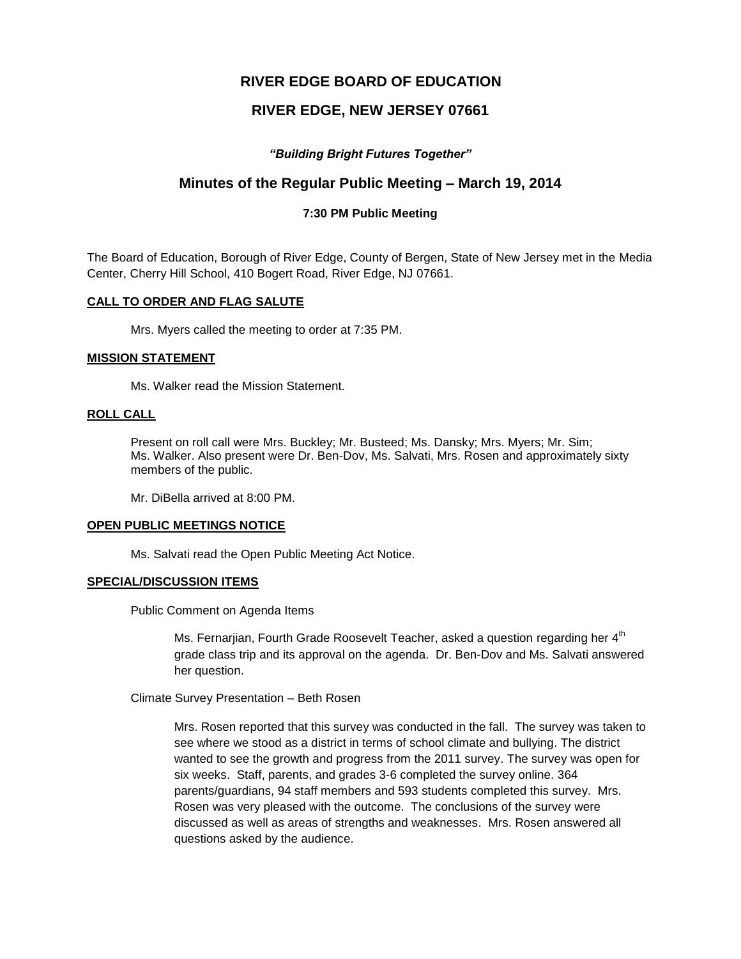# **RIVER EDGE BOARD OF EDUCATION**

# **RIVER EDGE, NEW JERSEY 07661**

## *"Building Bright Futures Together"*

# **Minutes of the Regular Public Meeting – March 19, 2014**

## **7:30 PM Public Meeting**

The Board of Education, Borough of River Edge, County of Bergen, State of New Jersey met in the Media Center, Cherry Hill School, 410 Bogert Road, River Edge, NJ 07661.

#### **CALL TO ORDER AND FLAG SALUTE**

Mrs. Myers called the meeting to order at 7:35 PM.

#### **MISSION STATEMENT**

Ms. Walker read the Mission Statement.

## **ROLL CALL**

Present on roll call were Mrs. Buckley; Mr. Busteed; Ms. Dansky; Mrs. Myers; Mr. Sim; Ms. Walker. Also present were Dr. Ben-Dov, Ms. Salvati, Mrs. Rosen and approximately sixty members of the public.

Mr. DiBella arrived at 8:00 PM.

#### **OPEN PUBLIC MEETINGS NOTICE**

Ms. Salvati read the Open Public Meeting Act Notice.

#### **SPECIAL/DISCUSSION ITEMS**

Public Comment on Agenda Items

Ms. Fernarjian, Fourth Grade Roosevelt Teacher, asked a question regarding her  $4^{\text{th}}$ grade class trip and its approval on the agenda. Dr. Ben-Dov and Ms. Salvati answered her question.

Climate Survey Presentation – Beth Rosen

Mrs. Rosen reported that this survey was conducted in the fall. The survey was taken to see where we stood as a district in terms of school climate and bullying. The district wanted to see the growth and progress from the 2011 survey. The survey was open for six weeks. Staff, parents, and grades 3-6 completed the survey online. 364 parents/guardians, 94 staff members and 593 students completed this survey. Mrs. Rosen was very pleased with the outcome. The conclusions of the survey were discussed as well as areas of strengths and weaknesses. Mrs. Rosen answered all questions asked by the audience.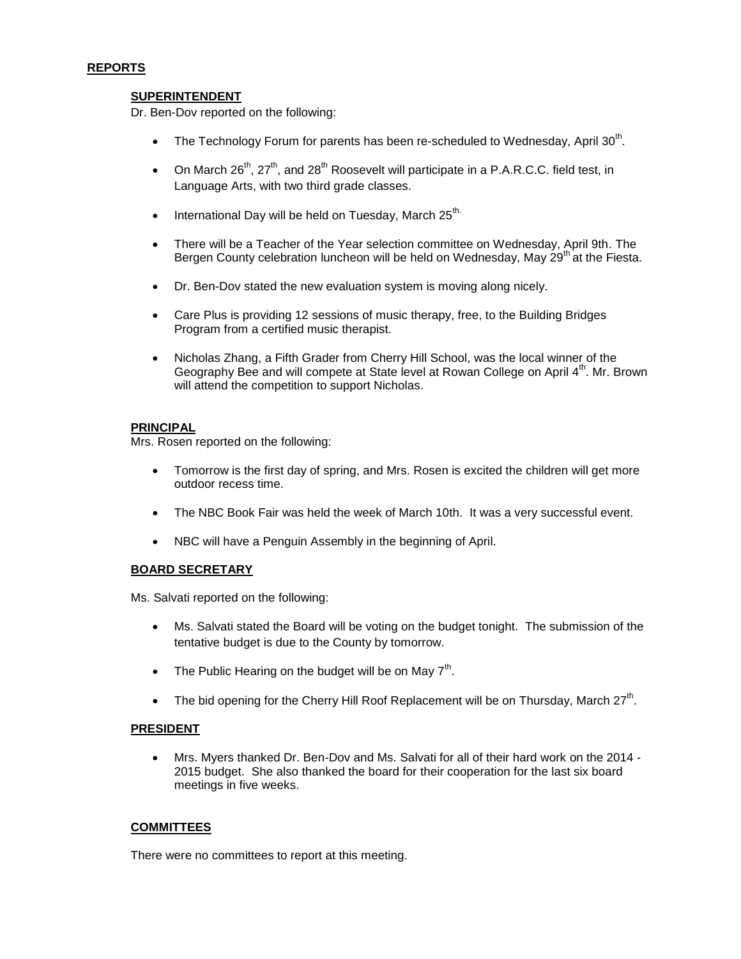#### **REPORTS**

### **SUPERINTENDENT**

Dr. Ben-Dov reported on the following:

- The Technology Forum for parents has been re-scheduled to Wednesday, April 30<sup>th</sup>.
- On March  $26<sup>th</sup>$ ,  $27<sup>th</sup>$ , and  $28<sup>th</sup>$  Roosevelt will participate in a P.A.R.C.C. field test, in Language Arts, with two third grade classes.
- $\bullet$  International Day will be held on Tuesday, March 25<sup>th.</sup>
- There will be a Teacher of the Year selection committee on Wednesday, April 9th. The Bergen County celebration luncheon will be held on Wednesday, May  $29<sup>th</sup>$  at the Fiesta.
- Dr. Ben-Dov stated the new evaluation system is moving along nicely.
- Care Plus is providing 12 sessions of music therapy, free, to the Building Bridges Program from a certified music therapist.
- Nicholas Zhang, a Fifth Grader from Cherry Hill School, was the local winner of the Geography Bee and will compete at State level at Rowan College on April 4<sup>th</sup>. Mr. Brown will attend the competition to support Nicholas.

#### **PRINCIPAL**

Mrs. Rosen reported on the following:

- Tomorrow is the first day of spring, and Mrs. Rosen is excited the children will get more outdoor recess time.
- The NBC Book Fair was held the week of March 10th. It was a very successful event.
- NBC will have a Penguin Assembly in the beginning of April.

#### **BOARD SECRETARY**

Ms. Salvati reported on the following:

- Ms. Salvati stated the Board will be voting on the budget tonight. The submission of the tentative budget is due to the County by tomorrow.
- The Public Hearing on the budget will be on May  $7<sup>th</sup>$ .
- The bid opening for the Cherry Hill Roof Replacement will be on Thursday, March 27<sup>th</sup>.

#### **PRESIDENT**

 Mrs. Myers thanked Dr. Ben-Dov and Ms. Salvati for all of their hard work on the 2014 - 2015 budget. She also thanked the board for their cooperation for the last six board meetings in five weeks.

#### **COMMITTEES**

There were no committees to report at this meeting.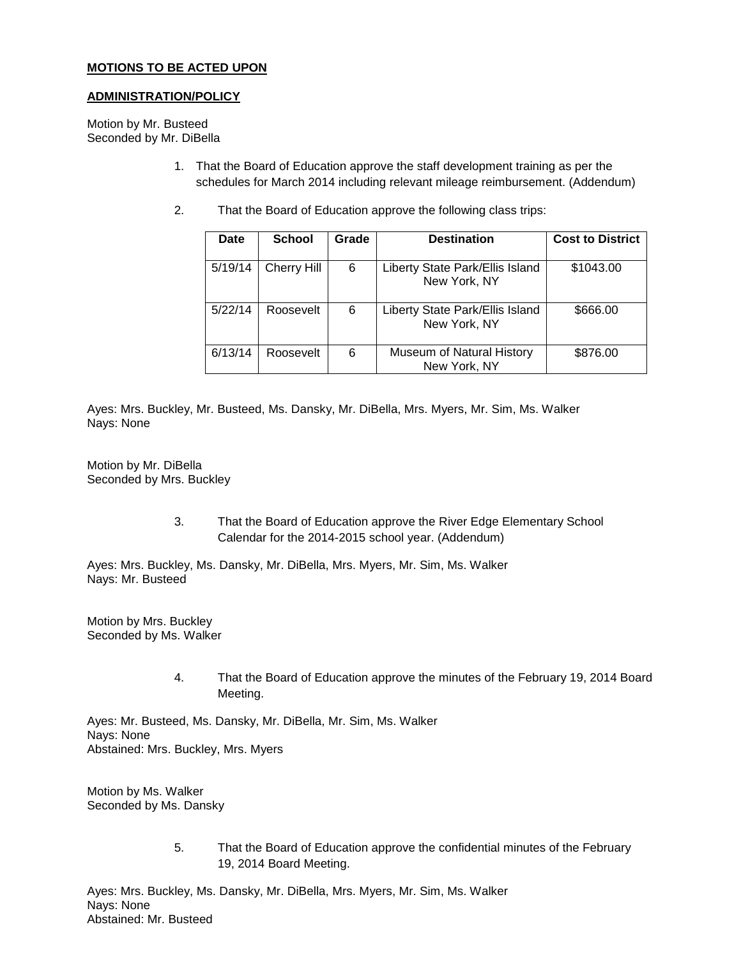## **MOTIONS TO BE ACTED UPON**

#### **ADMINISTRATION/POLICY**

Motion by Mr. Busteed Seconded by Mr. DiBella

- 1. That the Board of Education approve the staff development training as per the schedules for March 2014 including relevant mileage reimbursement. (Addendum)
- 2. That the Board of Education approve the following class trips:

| Date    | <b>School</b>      | Grade | <b>Destination</b>                              | <b>Cost to District</b> |
|---------|--------------------|-------|-------------------------------------------------|-------------------------|
| 5/19/14 | <b>Cherry Hill</b> | 6     | Liberty State Park/Ellis Island<br>New York, NY | \$1043.00               |
| 5/22/14 | Roosevelt          | 6     | Liberty State Park/Ellis Island<br>New York, NY | \$666.00                |
| 6/13/14 | Roosevelt          | 6     | Museum of Natural History<br>New York, NY       | \$876.00                |

Ayes: Mrs. Buckley, Mr. Busteed, Ms. Dansky, Mr. DiBella, Mrs. Myers, Mr. Sim, Ms. Walker Nays: None

Motion by Mr. DiBella Seconded by Mrs. Buckley

> 3. That the Board of Education approve the River Edge Elementary School Calendar for the 2014-2015 school year. (Addendum)

Ayes: Mrs. Buckley, Ms. Dansky, Mr. DiBella, Mrs. Myers, Mr. Sim, Ms. Walker Nays: Mr. Busteed

Motion by Mrs. Buckley Seconded by Ms. Walker

> 4. That the Board of Education approve the minutes of the February 19, 2014 Board Meeting.

Ayes: Mr. Busteed, Ms. Dansky, Mr. DiBella, Mr. Sim, Ms. Walker Nays: None Abstained: Mrs. Buckley, Mrs. Myers

Motion by Ms. Walker Seconded by Ms. Dansky

> 5. That the Board of Education approve the confidential minutes of the February 19, 2014 Board Meeting.

Ayes: Mrs. Buckley, Ms. Dansky, Mr. DiBella, Mrs. Myers, Mr. Sim, Ms. Walker Nays: None Abstained: Mr. Busteed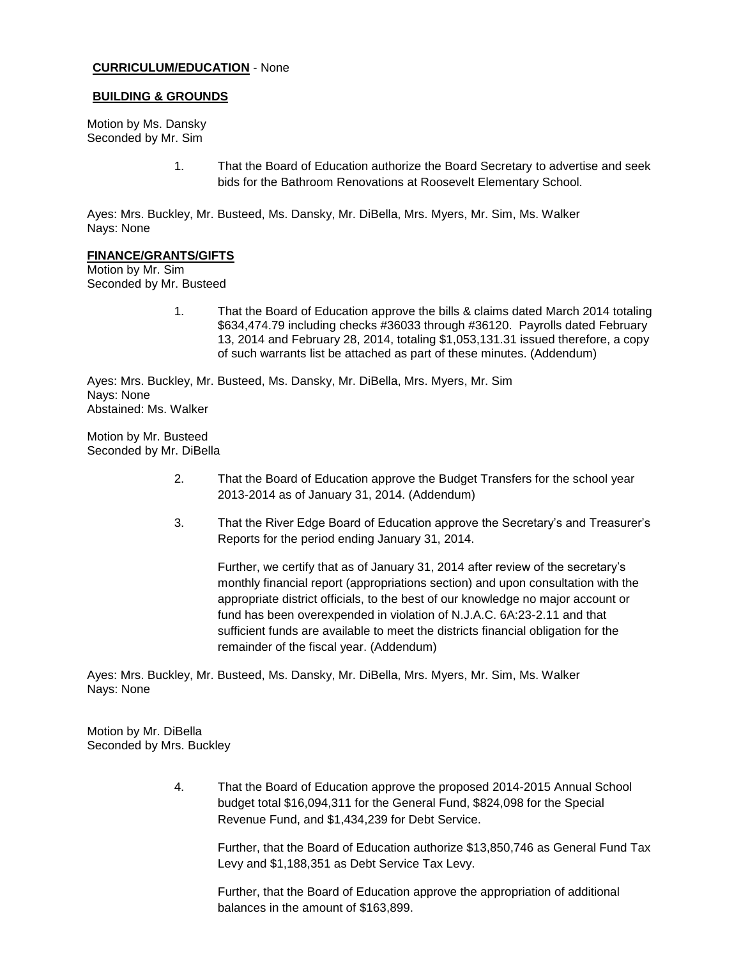#### **CURRICULUM/EDUCATION** - None

#### **BUILDING & GROUNDS**

Motion by Ms. Dansky Seconded by Mr. Sim

> 1. That the Board of Education authorize the Board Secretary to advertise and seek bids for the Bathroom Renovations at Roosevelt Elementary School.

Ayes: Mrs. Buckley, Mr. Busteed, Ms. Dansky, Mr. DiBella, Mrs. Myers, Mr. Sim, Ms. Walker Nays: None

#### **FINANCE/GRANTS/GIFTS**

Motion by Mr. Sim Seconded by Mr. Busteed

> 1. That the Board of Education approve the bills & claims dated March 2014 totaling \$634,474.79 including checks #36033 through #36120. Payrolls dated February 13, 2014 and February 28, 2014, totaling \$1,053,131.31 issued therefore, a copy of such warrants list be attached as part of these minutes. (Addendum)

Ayes: Mrs. Buckley, Mr. Busteed, Ms. Dansky, Mr. DiBella, Mrs. Myers, Mr. Sim Nays: None Abstained: Ms. Walker

Motion by Mr. Busteed Seconded by Mr. DiBella

- 2. That the Board of Education approve the Budget Transfers for the school year 2013-2014 as of January 31, 2014. (Addendum)
- 3. That the River Edge Board of Education approve the Secretary's and Treasurer's Reports for the period ending January 31, 2014.

Further, we certify that as of January 31, 2014 after review of the secretary's monthly financial report (appropriations section) and upon consultation with the appropriate district officials, to the best of our knowledge no major account or fund has been overexpended in violation of N.J.A.C. 6A:23-2.11 and that sufficient funds are available to meet the districts financial obligation for the remainder of the fiscal year. (Addendum)

Ayes: Mrs. Buckley, Mr. Busteed, Ms. Dansky, Mr. DiBella, Mrs. Myers, Mr. Sim, Ms. Walker Nays: None

Motion by Mr. DiBella Seconded by Mrs. Buckley

> 4. That the Board of Education approve the proposed 2014-2015 Annual School budget total \$16,094,311 for the General Fund, \$824,098 for the Special Revenue Fund, and \$1,434,239 for Debt Service.

Further, that the Board of Education authorize \$13,850,746 as General Fund Tax Levy and \$1,188,351 as Debt Service Tax Levy.

Further, that the Board of Education approve the appropriation of additional balances in the amount of \$163,899.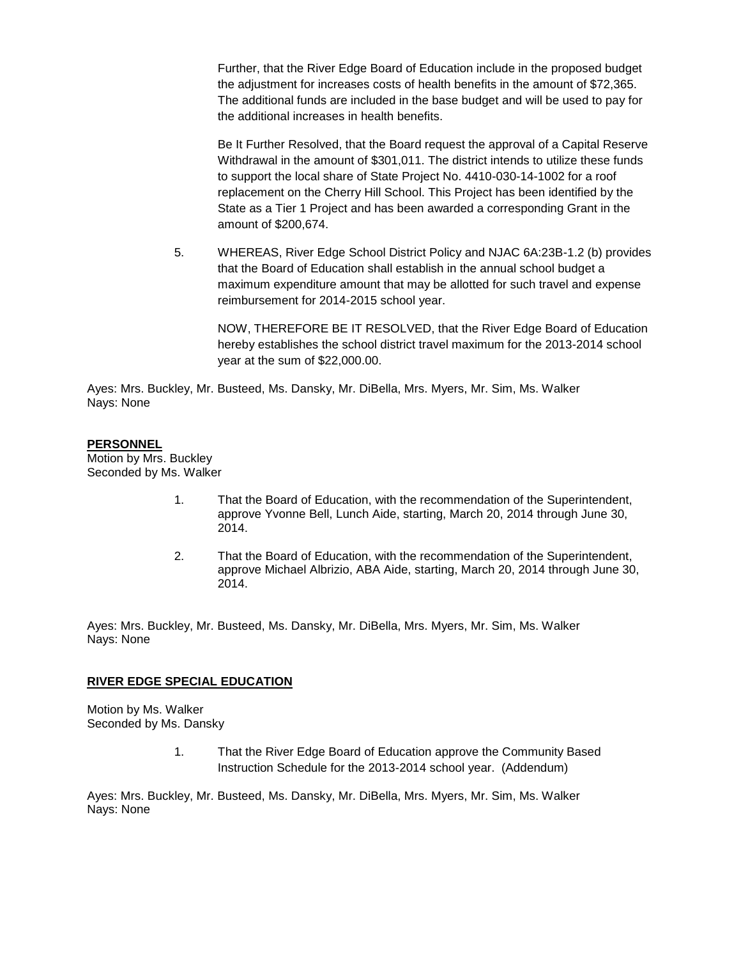Further, that the River Edge Board of Education include in the proposed budget the adjustment for increases costs of health benefits in the amount of \$72,365. The additional funds are included in the base budget and will be used to pay for the additional increases in health benefits.

Be It Further Resolved, that the Board request the approval of a Capital Reserve Withdrawal in the amount of \$301,011. The district intends to utilize these funds to support the local share of State Project No. 4410-030-14-1002 for a roof replacement on the Cherry Hill School. This Project has been identified by the State as a Tier 1 Project and has been awarded a corresponding Grant in the amount of \$200,674.

5. WHEREAS, River Edge School District Policy and NJAC 6A:23B-1.2 (b) provides that the Board of Education shall establish in the annual school budget a maximum expenditure amount that may be allotted for such travel and expense reimbursement for 2014-2015 school year.

NOW, THEREFORE BE IT RESOLVED, that the River Edge Board of Education hereby establishes the school district travel maximum for the 2013-2014 school year at the sum of \$22,000.00.

Ayes: Mrs. Buckley, Mr. Busteed, Ms. Dansky, Mr. DiBella, Mrs. Myers, Mr. Sim, Ms. Walker Nays: None

#### **PERSONNEL**

Motion by Mrs. Buckley Seconded by Ms. Walker

- 1. That the Board of Education, with the recommendation of the Superintendent, approve Yvonne Bell, Lunch Aide, starting, March 20, 2014 through June 30, 2014.
- 2. That the Board of Education, with the recommendation of the Superintendent, approve Michael Albrizio, ABA Aide, starting, March 20, 2014 through June 30, 2014.

Ayes: Mrs. Buckley, Mr. Busteed, Ms. Dansky, Mr. DiBella, Mrs. Myers, Mr. Sim, Ms. Walker Nays: None

#### **RIVER EDGE SPECIAL EDUCATION**

Motion by Ms. Walker Seconded by Ms. Dansky

> 1. That the River Edge Board of Education approve the Community Based Instruction Schedule for the 2013-2014 school year. (Addendum)

Ayes: Mrs. Buckley, Mr. Busteed, Ms. Dansky, Mr. DiBella, Mrs. Myers, Mr. Sim, Ms. Walker Nays: None